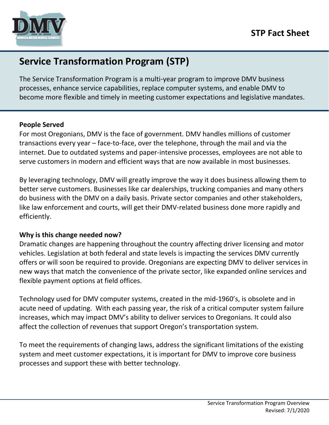

# **Service Transformation Program (STP)**

The Service Transformation Program is a multi-year program to improve DMV business processes, enhance service capabilities, replace computer systems, and enable DMV to become more flexible and timely in meeting customer expectations and legislative mandates.

#### **People Served**

For most Oregonians, DMV is the face of government. DMV handles millions of customer transactions every year – face-to-face, over the telephone, through the mail and via the internet. Due to outdated systems and paper-intensive processes, employees are not able to serve customers in modern and efficient ways that are now available in most businesses.

By leveraging technology, DMV will greatly improve the way it does business allowing them to better serve customers. Businesses like car dealerships, trucking companies and many others do business with the DMV on a daily basis. Private sector companies and other stakeholders, like law enforcement and courts, will get their DMV-related business done more rapidly and efficiently.

## **Why is this change needed now?**

Dramatic changes are happening throughout the country affecting driver licensing and motor vehicles. Legislation at both federal and state levels is impacting the services DMV currently offers or will soon be required to provide. Oregonians are expecting DMV to deliver services in new ways that match the convenience of the private sector, like expanded online services and flexible payment options at field offices.

Technology used for DMV computer systems, created in the mid-1960's, is obsolete and in acute need of updating. With each passing year, the risk of a critical computer system failure increases, which may impact DMV's ability to deliver services to Oregonians. It could also affect the collection of revenues that support Oregon's transportation system.

To meet the requirements of changing laws, address the significant limitations of the existing system and meet customer expectations, it is important for DMV to improve core business processes and support these with better technology.